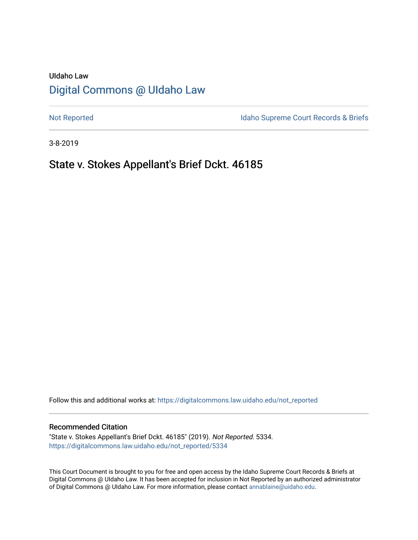# UIdaho Law [Digital Commons @ UIdaho Law](https://digitalcommons.law.uidaho.edu/)

[Not Reported](https://digitalcommons.law.uidaho.edu/not_reported) **Idaho Supreme Court Records & Briefs** 

3-8-2019

# State v. Stokes Appellant's Brief Dckt. 46185

Follow this and additional works at: [https://digitalcommons.law.uidaho.edu/not\\_reported](https://digitalcommons.law.uidaho.edu/not_reported?utm_source=digitalcommons.law.uidaho.edu%2Fnot_reported%2F5334&utm_medium=PDF&utm_campaign=PDFCoverPages) 

### Recommended Citation

"State v. Stokes Appellant's Brief Dckt. 46185" (2019). Not Reported. 5334. [https://digitalcommons.law.uidaho.edu/not\\_reported/5334](https://digitalcommons.law.uidaho.edu/not_reported/5334?utm_source=digitalcommons.law.uidaho.edu%2Fnot_reported%2F5334&utm_medium=PDF&utm_campaign=PDFCoverPages)

This Court Document is brought to you for free and open access by the Idaho Supreme Court Records & Briefs at Digital Commons @ UIdaho Law. It has been accepted for inclusion in Not Reported by an authorized administrator of Digital Commons @ UIdaho Law. For more information, please contact [annablaine@uidaho.edu](mailto:annablaine@uidaho.edu).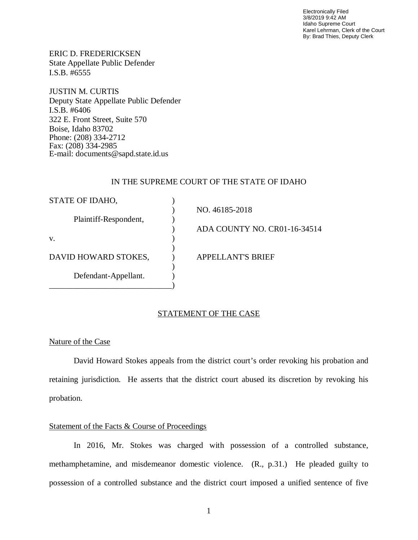Electronically Filed 3/8/2019 9:42 AM Idaho Supreme Court Karel Lehrman, Clerk of the Court By: Brad Thies, Deputy Clerk

ERIC D. FREDERICKSEN State Appellate Public Defender I.S.B. #6555

JUSTIN M. CURTIS Deputy State Appellate Public Defender I.S.B. #6406 322 E. Front Street, Suite 570 Boise, Idaho 83702 Phone: (208) 334-2712 Fax: (208) 334-2985 E-mail: documents@sapd.state.id.us

## IN THE SUPREME COURT OF THE STATE OF IDAHO

| STATE OF IDAHO,       |                              |
|-----------------------|------------------------------|
|                       | NO. 46185-2018               |
| Plaintiff-Respondent, |                              |
|                       | ADA COUNTY NO. CR01-16-34514 |
| V.                    |                              |
|                       |                              |
| DAVID HOWARD STOKES,  | <b>APPELLANT'S BRIEF</b>     |
|                       |                              |
| Defendant-Appellant.  |                              |
|                       |                              |

# STATEMENT OF THE CASE

# Nature of the Case

David Howard Stokes appeals from the district court's order revoking his probation and retaining jurisdiction. He asserts that the district court abused its discretion by revoking his probation.

# Statement of the Facts & Course of Proceedings

In 2016, Mr. Stokes was charged with possession of a controlled substance, methamphetamine, and misdemeanor domestic violence. (R., p.31.) He pleaded guilty to possession of a controlled substance and the district court imposed a unified sentence of five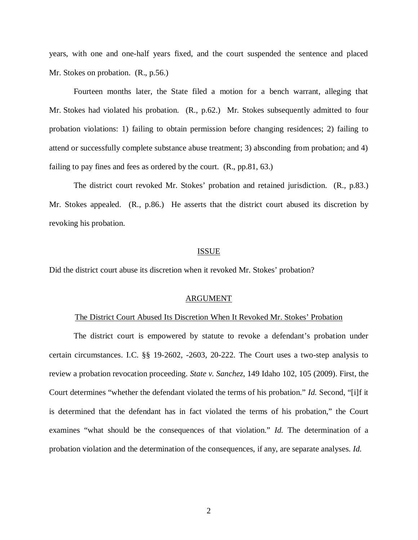years, with one and one-half years fixed, and the court suspended the sentence and placed Mr. Stokes on probation. (R., p.56.)

Fourteen months later, the State filed a motion for a bench warrant, alleging that Mr. Stokes had violated his probation. (R., p.62.) Mr. Stokes subsequently admitted to four probation violations: 1) failing to obtain permission before changing residences; 2) failing to attend or successfully complete substance abuse treatment; 3) absconding from probation; and 4) failing to pay fines and fees as ordered by the court. (R., pp.81, 63.)

The district court revoked Mr. Stokes' probation and retained jurisdiction. (R., p.83.) Mr. Stokes appealed. (R., p.86.) He asserts that the district court abused its discretion by revoking his probation.

### ISSUE

Did the district court abuse its discretion when it revoked Mr. Stokes' probation?

#### ARGUMENT

#### The District Court Abused Its Discretion When It Revoked Mr. Stokes' Probation

The district court is empowered by statute to revoke a defendant's probation under certain circumstances. I.C. §§ 19-2602, -2603, 20-222. The Court uses a two-step analysis to review a probation revocation proceeding. *State v. Sanchez*, 149 Idaho 102, 105 (2009). First, the Court determines "whether the defendant violated the terms of his probation." *Id.* Second, "[i]f it is determined that the defendant has in fact violated the terms of his probation," the Court examines "what should be the consequences of that violation." *Id.* The determination of a probation violation and the determination of the consequences, if any, are separate analyses. *Id.*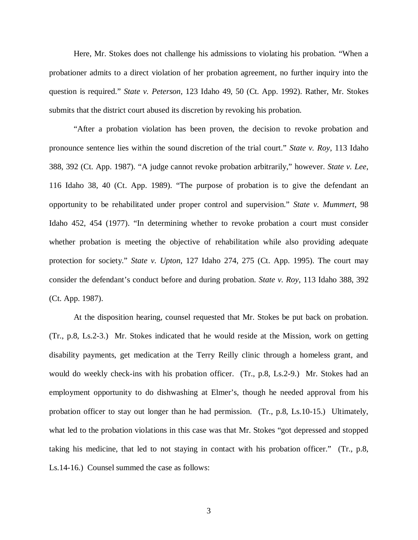Here, Mr. Stokes does not challenge his admissions to violating his probation. "When a probationer admits to a direct violation of her probation agreement, no further inquiry into the question is required." *State v. Peterson*, 123 Idaho 49, 50 (Ct. App. 1992). Rather, Mr. Stokes submits that the district court abused its discretion by revoking his probation.

"After a probation violation has been proven, the decision to revoke probation and pronounce sentence lies within the sound discretion of the trial court." *State v. Roy*, 113 Idaho 388, 392 (Ct. App. 1987). "A judge cannot revoke probation arbitrarily," however. *State v. Lee*, 116 Idaho 38, 40 (Ct. App. 1989). "The purpose of probation is to give the defendant an opportunity to be rehabilitated under proper control and supervision." *State v. Mummert*, 98 Idaho 452, 454 (1977). "In determining whether to revoke probation a court must consider whether probation is meeting the objective of rehabilitation while also providing adequate protection for society." *State v. Upton*, 127 Idaho 274, 275 (Ct. App. 1995). The court may consider the defendant's conduct before and during probation. *State v. Roy*, 113 Idaho 388, 392 (Ct. App. 1987).

At the disposition hearing, counsel requested that Mr. Stokes be put back on probation. (Tr., p.8, Ls.2-3.) Mr. Stokes indicated that he would reside at the Mission, work on getting disability payments, get medication at the Terry Reilly clinic through a homeless grant, and would do weekly check-ins with his probation officer. (Tr., p.8, Ls.2-9.) Mr. Stokes had an employment opportunity to do dishwashing at Elmer's, though he needed approval from his probation officer to stay out longer than he had permission. (Tr., p.8, Ls.10-15.) Ultimately, what led to the probation violations in this case was that Mr. Stokes "got depressed and stopped taking his medicine, that led to not staying in contact with his probation officer." (Tr., p.8, Ls.14-16.) Counsel summed the case as follows: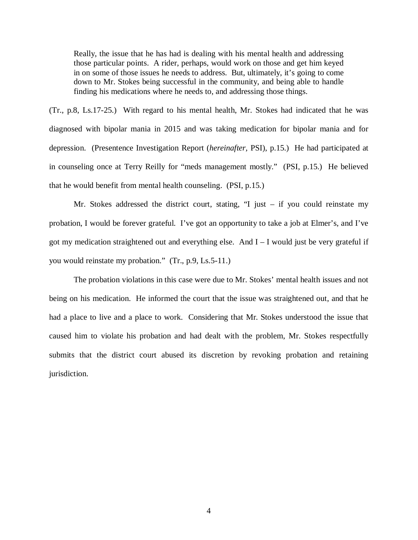Really, the issue that he has had is dealing with his mental health and addressing those particular points. A rider, perhaps, would work on those and get him keyed in on some of those issues he needs to address. But, ultimately, it's going to come down to Mr. Stokes being successful in the community, and being able to handle finding his medications where he needs to, and addressing those things.

(Tr., p.8, Ls.17-25.) With regard to his mental health, Mr. Stokes had indicated that he was diagnosed with bipolar mania in 2015 and was taking medication for bipolar mania and for depression. (Presentence Investigation Report (*hereinafter,* PSI), p.15.) He had participated at in counseling once at Terry Reilly for "meds management mostly." (PSI, p.15.) He believed that he would benefit from mental health counseling. (PSI, p.15.)

Mr. Stokes addressed the district court, stating, "I just – if you could reinstate my probation, I would be forever grateful. I've got an opportunity to take a job at Elmer's, and I've got my medication straightened out and everything else. And I – I would just be very grateful if you would reinstate my probation." (Tr., p.9, Ls.5-11.)

The probation violations in this case were due to Mr. Stokes' mental health issues and not being on his medication. He informed the court that the issue was straightened out, and that he had a place to live and a place to work. Considering that Mr. Stokes understood the issue that caused him to violate his probation and had dealt with the problem, Mr. Stokes respectfully submits that the district court abused its discretion by revoking probation and retaining jurisdiction.

4